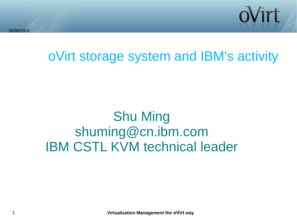

oVirt storage system and IBM's activity

### Shu Ming shuming@cn.ibm.com IBM CSTL KVM technical leader

1 **Virtualization Management the oVirt way**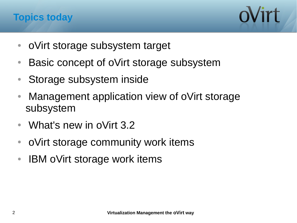



- oVirt storage subsystem target
- Basic concept of oVirt storage subsystem
- Storage subsystem inside
- Management application view of oVirt storage subsystem
- What's new in oVirt 3.2
- oVirt storage community work items
- IBM oVirt storage work items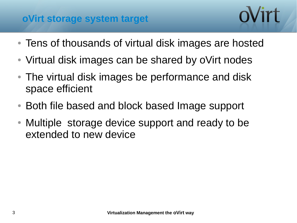#### **oVirt storage system target**

- Tens of thousands of virtual disk images are hosted
- Virtual disk images can be shared by oVirt nodes
- The virtual disk images be performance and disk space efficient
- Both file based and block based Image support
- Multiple storage device support and ready to be extended to new device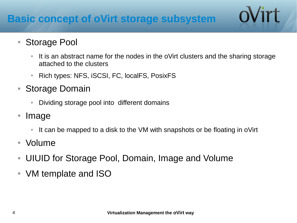#### **Basic concept of oVirt storage subsystem**

#### • Storage Pool

It is an abstract name for the nodes in the oVirt clusters and the sharing storage attached to the clusters

ovirt

- Rich types: NFS, iSCSI, FC, localFS, PosixFS
- Storage Domain
	- Dividing storage pool into different domains
- Image
	- It can be mapped to a disk to the VM with snapshots or be floating in oVirt
- Volume
- UIUID for Storage Pool, Domain, Image and Volume
- VM template and ISO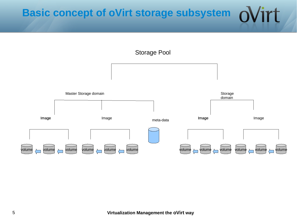#### **Basic concept of oVirt storage subsystem**ʻirt

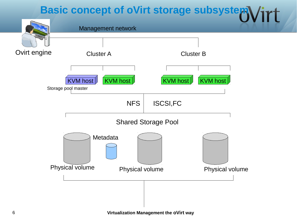#### **Basic concept of oVirt storage subsystem**



6 **Virtualization Management the oVirt way**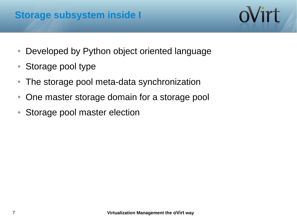#### **Storage subsystem inside I**

- Developed by Python object oriented language
- Storage pool type
- The storage pool meta-data synchronization
- One master storage domain for a storage pool
- Storage pool master election

oVirt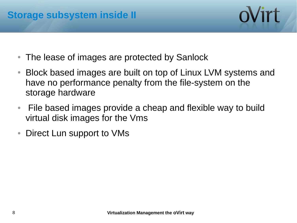

- The lease of images are protected by Sanlock
- Block based images are built on top of Linux LVM systems and have no performance penalty from the file-system on the storage hardware
- File based images provide a cheap and flexible way to build virtual disk images for the Vms
- Direct Lun support to VMs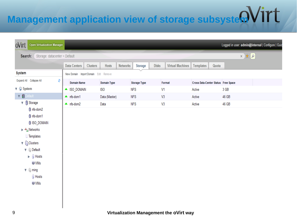# **Management application view of storage subsysteMV1rt**

| <b>Open Virtualization Manager</b><br>oVirt                                                                                                                                                                                            |                                      |                 |                    |                 |                     |                |                         |                                     |       |       |             |  | Logged in user: admin@internal   Configure   Guid |
|----------------------------------------------------------------------------------------------------------------------------------------------------------------------------------------------------------------------------------------|--------------------------------------|-----------------|--------------------|-----------------|---------------------|----------------|-------------------------|-------------------------------------|-------|-------|-------------|--|---------------------------------------------------|
| Storage: datacenter = Default<br>Search:                                                                                                                                                                                               |                                      |                 |                    |                 |                     |                |                         |                                     |       |       | $x \star a$ |  |                                                   |
|                                                                                                                                                                                                                                        | <b>Data Centers</b>                  | <b>Clusters</b> | <b>Hosts</b>       | <b>Networks</b> | <b>Storage</b>      | <b>Disks</b>   | <b>Virtual Machines</b> | <b>Templates</b>                    | Quota |       |             |  |                                                   |
| <b>System</b>                                                                                                                                                                                                                          | New Domain Import Domain Edit Remove |                 |                    |                 |                     |                |                         |                                     |       |       |             |  |                                                   |
| Expand All Collapse All<br>e                                                                                                                                                                                                           | <b>Domain Name</b>                   |                 | <b>Domain Type</b> |                 | <b>Storage Type</b> |                | Format                  | Cross Data-Center Status Free Space |       |       |             |  |                                                   |
| <b>v</b> System                                                                                                                                                                                                                        | $\triangle$ ISO_DOMAIN               |                 | ISO                |                 | <b>NFS</b>          | V <sub>1</sub> |                         | Active                              |       | 3 GB  |             |  |                                                   |
| $\nabla$ <b>B</b> Default                                                                                                                                                                                                              | $\triangle$ nfs-dom1                 |                 | Data (Master)      |                 | <b>NFS</b>          | V <sub>3</sub> |                         | Active                              |       | 46 GB |             |  |                                                   |
| ▼ Storage                                                                                                                                                                                                                              | $\triangle$ nfs-dom2                 |                 | Data               |                 | <b>NFS</b>          | V <sub>3</sub> |                         | Active                              |       | 46 GB |             |  |                                                   |
| nfs-dom2<br>nfs-dom1<br><b>JISO_DOMAIN</b><br>► <sup>2</sup> Networks<br><b>Templates</b><br><b>v</b> Clusters<br>$\nabla$ (iii) Default<br><b>Hosts</b><br>Þ.<br><b>I VMs</b><br>$\nabla$ $\oplus$ ming<br><b>Hosts</b><br><b>WWS</b> |                                      |                 |                    |                 |                     |                |                         |                                     |       |       |             |  |                                                   |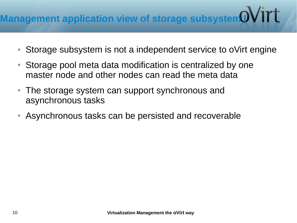- Storage subsystem is not a independent service to oVirt engine
- Storage pool meta data modification is centralized by one master node and other nodes can read the meta data
- The storage system can support synchronous and asynchronous tasks
- Asynchronous tasks can be persisted and recoverable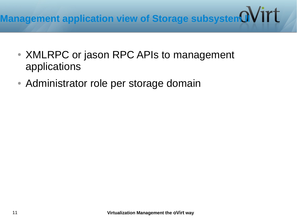## **Management application view of Storage subsystem available Management application view of Storage subsystem and N**

- XMLRPC or jason RPC APIs to management applications
- Administrator role per storage domain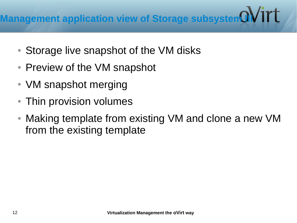- Storage live snapshot of the VM disks
- Preview of the VM snapshot
- VM snapshot merging
- Thin provision volumes
- Making template from existing VM and clone a new VM from the existing template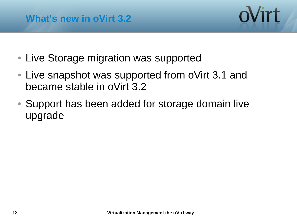



- Live Storage migration was supported
- Live snapshot was supported from oVirt 3.1 and became stable in oVirt 3.2
- Support has been added for storage domain live upgrade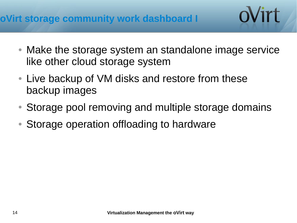#### **oVirt storage community work dashboard I**

Make the storage system an standalone image service like other cloud storage system

oVirt

- Live backup of VM disks and restore from these backup images
- Storage pool removing and multiple storage domains
- Storage operation offloading to hardware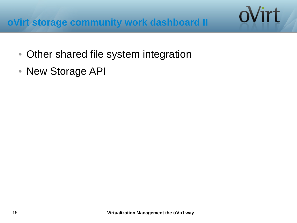- Other shared file system integration
- New Storage API

ovirt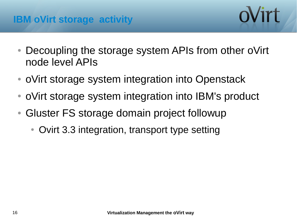

- Decoupling the storage system APIs from other oVirt node level APIs
- oVirt storage system integration into Openstack
- oVirt storage system integration into IBM's product
- Gluster FS storage domain project followup
	- Ovirt 3.3 integration, transport type setting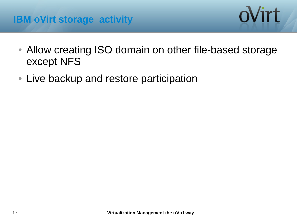#### **IBM oVirt storage activity**



- Allow creating ISO domain on other file-based storage except NFS
- Live backup and restore participation